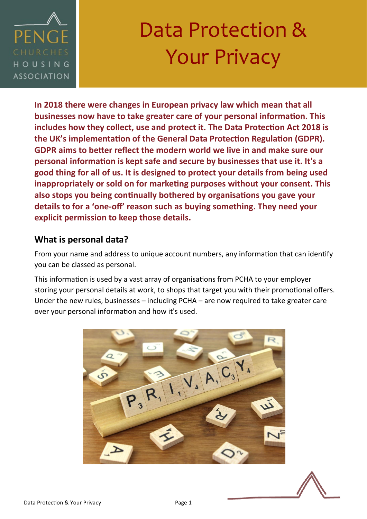

**In 2018 there were changes in European privacy law which mean that all businesses now have to take greater care of your personal information. This includes how they collect, use and protect it. The Data Protection Act 2018 is the UK's implementation of the General Data Protection Regulation (GDPR). GDPR aims to better reflect the modern world we live in and make sure our personal information is kept safe and secure by businesses that use it. It's a good thing for all of us. It is designed to protect your details from being used inappropriately or sold on for marketing purposes without your consent. This also stops you being continually bothered by organisations you gave your details to for a 'one-off' reason such as buying something. They need your explicit permission to keep those details.** 

### **What is personal data?**

From your name and address to unique account numbers, any information that can identify you can be classed as personal.

This information is used by a vast array of organisations from PCHA to your employer storing your personal details at work, to shops that target you with their promotional offers. Under the new rules, businesses – including PCHA – are now required to take greater care over your personal information and how it's used.



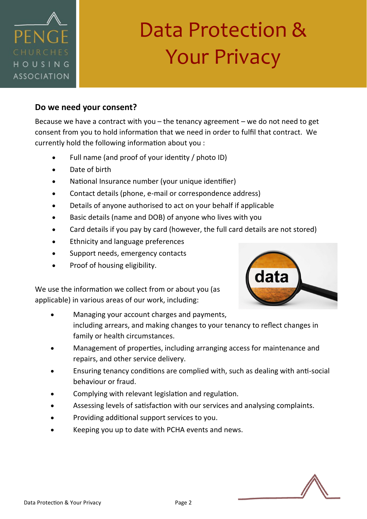

#### **Do we need your consent?**

Because we have a contract with you  $-$  the tenancy agreement  $-$  we do not need to get consent from you to hold information that we need in order to fulfil that contract. We currently hold the following information about you :

- Full name (and proof of your identity / photo ID)
- Date of birth
- National Insurance number (your unique identifier)
- Contact details (phone, e-mail or correspondence address)
- Details of anyone authorised to act on your behalf if applicable
- Basic details (name and DOB) of anyone who lives with you
- Card details if you pay by card (however, the full card details are not stored)
- Ethnicity and language preferences
- Support needs, emergency contacts
- Proof of housing eligibility.

We use the information we collect from or about you (as applicable) in various areas of our work, including:

- Managing your account charges and payments, including arrears, and making changes to your tenancy to reflect changes in family or health circumstances.
- Management of properties, including arranging access for maintenance and repairs, and other service delivery.
- Ensuring tenancy conditions are complied with, such as dealing with anti-social behaviour or fraud.
- Complying with relevant legislation and regulation.
- Assessing levels of satisfaction with our services and analysing complaints.
- Providing additional support services to you.
- Keeping you up to date with PCHA events and news.



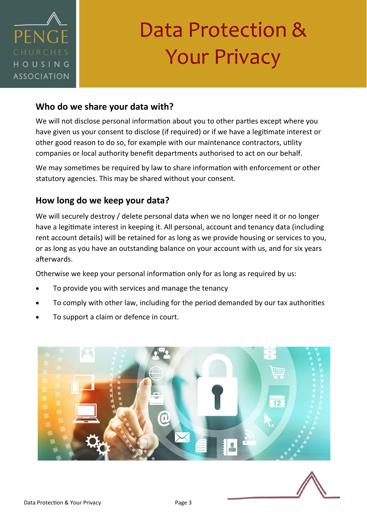

### **Who do we share your data with?**

We will not disclose personal information about you to other parties except where you have given us your consent to disclose (if required) or if we have a legitimate interest or other good reason to do so, for example with our maintenance contractors, utility companies or local authority benefit departments authorised to act on our behalf.

We may sometimes be required by law to share information with enforcement or other statutory agencies. This may be shared without your consent.

### **How long do we keep your data?**

We will securely destroy / delete personal data when we no longer need it or no longer have a legitimate interest in keeping it. All personal, account and tenancy data (including rent account details) will be retained for as long as we provide housing or services to you, or as long as you have an outstanding balance on your account with us, and for six years afterwards.

Otherwise we keep your personal information only for as long as required by us:

- To provide you with services and manage the tenancy
- To comply with other law, including for the period demanded by our tax authorities
- To support a claim or defence in court.